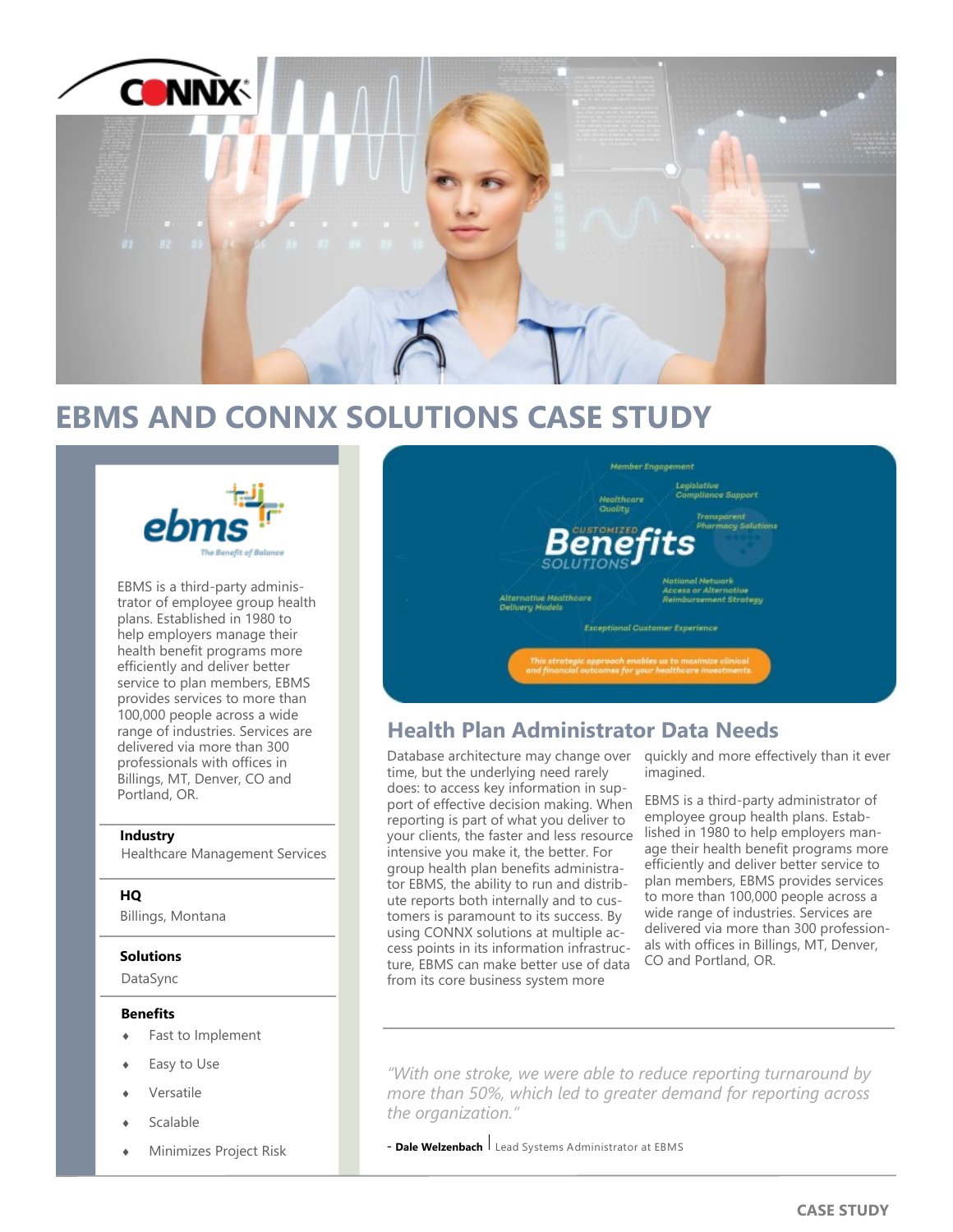

## **EBMS AND CONNX SOLUTIONS CASE STUDY**



EBMS is a third-party administrator of employee group health plans. Established in 1980 to help employers manage their health benefit programs more efficiently and deliver better service to plan members, EBMS provides services to more than 100,000 people across a wide range of industries. Services are delivered via more than 300 professionals with offices in Billings, MT, Denver, CO and Portland, OR.

### **Industry**

Healthcare Management Services

### **HQ**

Billings, Montana

### **Solutions**

DataSync

### **Benefits**

- Fast to Implement
- Easy to Use
- Versatile
- Scalable
- Minimizes Project Risk



## **Health Plan Administrator Data Needs**

Database architecture may change over time, but the underlying need rarely does: to access key information in support of effective decision making. When reporting is part of what you deliver to your clients, the faster and less resource intensive you make it, the better. For group health plan benefits administrator EBMS, the ability to run and distribute reports both internally and to customers is paramount to its success. By using CONNX solutions at multiple access points in its information infrastructure, EBMS can make better use of data from its core business system more

quickly and more effectively than it ever imagined.

EBMS is a third-party administrator of employee group health plans. Established in 1980 to help employers manage their health benefit programs more efficiently and deliver better service to plan members, EBMS provides services to more than 100,000 people across a wide range of industries. Services are delivered via more than 300 professionals with offices in Billings, MT, Denver, CO and Portland, OR.

*"With one stroke, we were able to reduce reporting turnaround by more than 50%, which led to greater demand for reporting across the organization."*

- **Dale Welzenbach** Lead Systems Administrator at EBMS